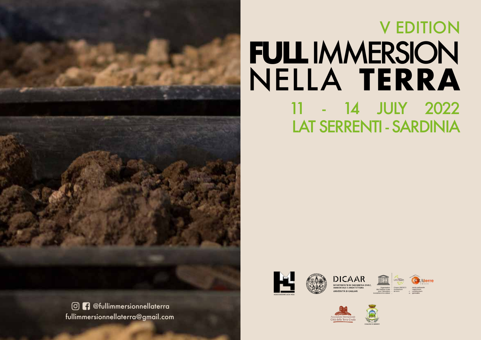

# **FULL IMMERSION** NELLA **TERRA** 11 - 14 JULY 2022 V EDITION LAT SERRENTI - SARDINIA









fullimmersionnellaterra@gmail.com @fullimmersionnellaterra





COMUNE DI SERRENTI

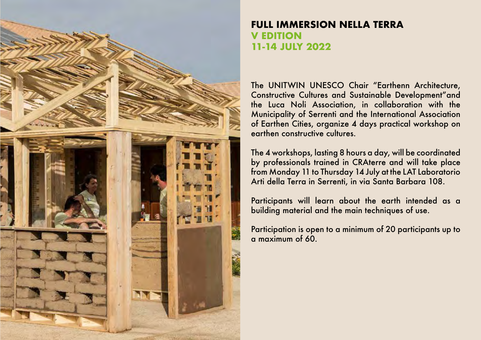

## **FULL IMMERSION NELLA TERRA V EDITION 11-14 JULY 2022**

The UNITWIN UNESCO Chair "Earthenn Architecture, Constructive Cultures and Sustainable Development"and the Luca Noli Association, in collaboration with the Municipality of Serrenti and the International Association of Earthen Cities, organize 4 days practical workshop on earthen constructive cultures.

The 4 workshops, lasting 8 hours a day, will be coordinated by professionals trained in CRAterre and will take place from Monday 11 to Thursday 14 July at the LAT Laboratorio Arti della Terra in Serrenti, in via Santa Barbara 108.

Participants will learn about the earth intended as a building material and the main techniques of use.

Participation is open to a minimum of 20 participants up to a maximum of 60.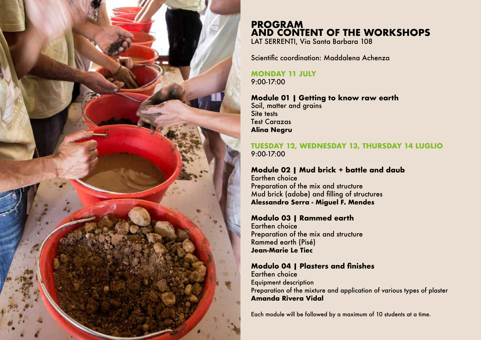

## **PROGRAM AND CONTENT OF THE WORKSHOPS**

LAT SERRENTI, Via Santa Barbara 108

Scientific coordination: Maddalena Achenza

**MONDAY 11 JULY** 9:00-17:00

#### **Module 01 | Getting to know raw earth**

Soil, matter and grains Site tests Test Carazas **Alina Negru**

#### **TUESDAY 12, WEDNESDAY 13, THURSDAY 14 LUGLIO** 9:00-17:00

#### **Module 02 | Mud brick + battle and daub**

Earthen choice Preparation of the mix and structure Mud brick (adobe) and filling of structures **Alessandro Serra - Miguel F. Mendes**

#### **Modulo 03 | Rammed earth**

Earthen choice Preparation of the mix and structure Rammed earth (Pisé) **Jean-Marie Le Tiec**

#### **Modulo 04 | Plasters and finishes**

Earthen choice Equipment description Preparation of the mixture and application of various types of plaster **Amanda Rivera Vidal**

Each module will be followed by a maximum of 10 students at a time.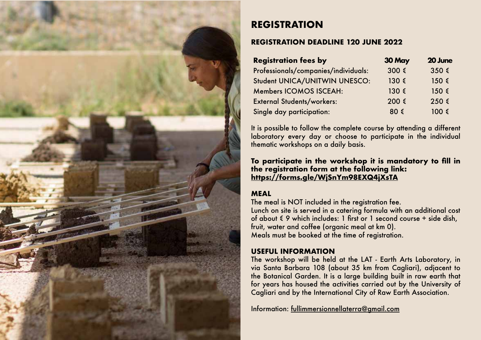

# **REGISTRATION**

#### **REGISTRATION DEADLINE 120 JUNE 2022**

| <b>Registration fees by</b>          | 30 May | 20 June            |
|--------------------------------------|--------|--------------------|
| Professionals/companies/individuals: | 300 €  | $350 \text{ } \in$ |
| Student UNICA/UNITWIN UNESCO:        |        | $150 \text{ } \in$ |
| <b>Members ICOMOS ISCEAH:</b>        |        | $150 \leq$         |
| <b>External Students/workers:</b>    | 200 €  | 250 €              |
| Single day participation:            | 80 €   |                    |

It is possible to follow the complete course by attending a different laboratory every day or choose to participate in the individual thematic workshops on a daily basis.

#### **To participate in the workshop it is mandatory to fill in the registration form at the following link: https://forms.gle/WjSnYm98EXQ4jXsTA**

### **MEAL**

The meal is NOT included in the registration fee. Lunch on site is served in a catering formula with an additional cost of about  $\epsilon$  9 which includes: 1 first or 1 second course + side dish, fruit, water and coffee (organic meal at km 0). Meals must be booked at the time of registration.

#### **USEFUL INFORMATION**

The workshop will be held at the LAT - Earth Arts Laboratory, in via Santa Barbara 108 (about 35 km from Cagliari), adjacent to the Botanical Garden. It is a large building built in raw earth that for years has housed the activities carried out by the University of Cagliari and by the International City of Raw Earth Association.

Information: fullimmersionnellaterra@gmail.com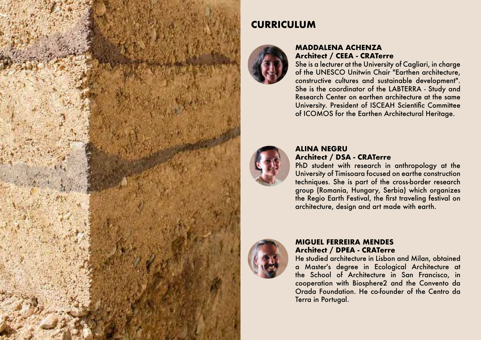

# **CURRICULUM**



#### **MADDALENA ACHENZA Architect / CEEA - CRATerre**

She is a lecturer at the University of Cagliari, in charge of the UNESCO Unitwin Chair "Earthen architecture, constructive cultures and sustainable development". She is the coordinator of the LABTERRA - Study and Research Center on earthen architecture at the same University. President of ISCEAH Scientific Committee of ICOMOS for the Earthen Architectural Heritage.



#### **ALINA NEGRU Architect / DSA - CRATerre**

PhD student with research in anthropology at the University of Timisoara focused on earthe construction techniques. She is part of the cross-border research group (Romania, Hungary, Serbia) which organizes the Regio Earth Festival, the first traveling festival on architecture, design and art made with earth.



#### **MIGUEL FERREIRA MENDES Architect / DPEA - CRATerre**

He studied architecture in Lisbon and Milan, obtained a Master's degree in Ecological Architecture at the School of Architecture in San Francisco, in cooperation with Biosphere2 and the Convento da Orada Foundation. He co-founder of the Centro da Terra in Portugal.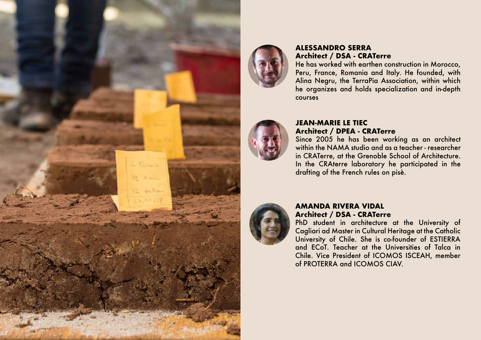



#### **ALESSANDRO SERRA Architect / DSA - CRATerre**

He has worked with earthen construction in Morocco, Peru, France, Romania and Italy. He founded, with Alina Negru, the TerraPia Association, within which he organizes and holds specialization and in-depth courses



#### **JEAN-MARIE LE TIEC Architect / DPEA - CRATerre**

Since 2005 he has been working as an architect within the NAMA studio and as a teacher - researcher in CRATerre, at the Grenoble School of Architecture. In the CRAterre laboratory he participated in the drafting of the French rules on pisè.



#### **AMANDA RIVERA VIDAL Architect / DSA - CRATerre**

PhD student in architecture at the University of Cagliari ad Master in Cultural Heritage at the Catholic University of Chile. She is co-founder of ESTIERRA and ECoT. Teacher at the Universities of Talca in Chile. Vice President of ICOMOS ISCEAH, member of PROTERRA and ICOMOS CIAV.